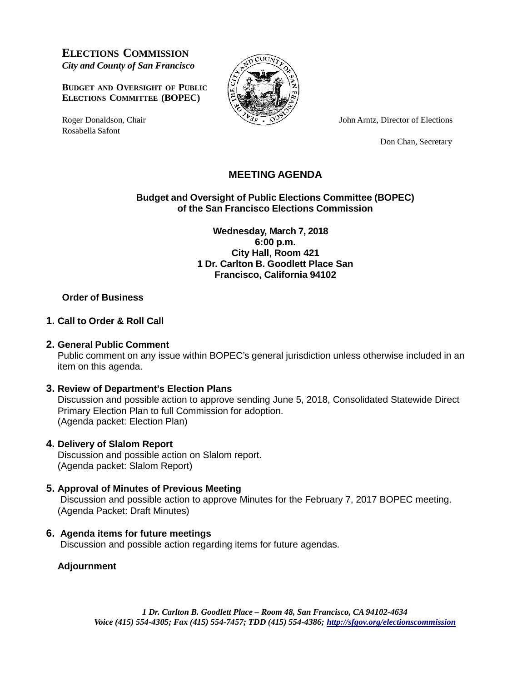**ELECTIONS COMMISSION** *City and County of San Francisco*

**BUDGET AND OVERSIGHT OF PUBLIC ELECTIONS COMMITTEE (BOPEC)**

Rosabella Safont



Roger Donaldson, Chair  $\sqrt{2s} \cdot 9^{3}$  John Arntz, Director of Elections

Don Chan, Secretary

# **MEETING AGENDA**

**Budget and Oversight of Public Elections Committee (BOPEC) of the San Francisco Elections Commission**

> **Wednesday, March 7, 2018 6:00 p.m. City Hall, Room 421 1 Dr. Carlton B. Goodlett Place San Francisco, California 94102**

## **Order of Business**

#### **1. Call to Order & Roll Call**

#### **2. General Public Comment**

Public comment on any issue within BOPEC's general jurisdiction unless otherwise included in an item on this agenda.

#### **3. Review of Department's Election Plans**

Discussion and possible action to approve sending June 5, 2018, Consolidated Statewide Direct Primary Election Plan to full Commission for adoption. (Agenda packet: Election Plan)

#### **4. Delivery of Slalom Report**

Discussion and possible action on Slalom report. (Agenda packet: Slalom Report)

# **5. Approval of Minutes of Previous Meeting**

Discussion and possible action to approve Minutes for the February 7, 2017 BOPEC meeting. (Agenda Packet: Draft Minutes)

#### **6. Agenda items for future meetings**

Discussion and possible action regarding items for future agendas.

## **Adjournment**